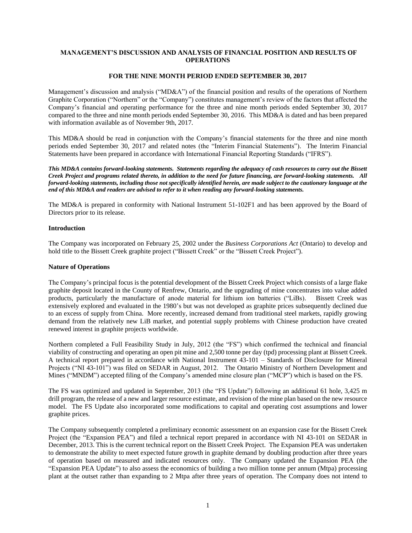# **MANAGEMENT'S DISCUSSION AND ANALYSIS OF FINANCIAL POSITION AND RESULTS OF OPERATIONS**

### **FOR THE NINE MONTH PERIOD ENDED SEPTEMBER 30, 2017**

Management's discussion and analysis ("MD&A") of the financial position and results of the operations of Northern Graphite Corporation ("Northern" or the "Company") constitutes management's review of the factors that affected the Company's financial and operating performance for the three and nine month periods ended September 30, 2017 compared to the three and nine month periods ended September 30, 2016. This MD&A is dated and has been prepared with information available as of November 9th, 2017.

This MD&A should be read in conjunction with the Company's financial statements for the three and nine month periods ended September 30, 2017 and related notes (the "Interim Financial Statements"). The Interim Financial Statements have been prepared in accordance with International Financial Reporting Standards ("IFRS").

*This MD&A contains forward-looking statements. Statements regarding the adequacy of cash resources to carry out the Bissett Creek Project and programs related thereto, in addition to the need for future financing, are forward-looking statements. All forward-looking statements, including those not specifically identified herein, are made subject to the cautionary language at the end of this MD&A and readers are advised to refer to it when reading any forward-looking statements.*

The MD&A is prepared in conformity with National Instrument 51-102F1 and has been approved by the Board of Directors prior to its release.

#### **Introduction**

The Company was incorporated on February 25, 2002 under the *Business Corporations Act* (Ontario) to develop and hold title to the Bissett Creek graphite project ("Bissett Creek" or the "Bissett Creek Project").

#### **Nature of Operations**

The Company's principal focus is the potential development of the Bissett Creek Project which consists of a large flake graphite deposit located in the County of Renfrew, Ontario, and the upgrading of mine concentrates into value added products, particularly the manufacture of anode material for lithium ion batteries ("LiBs). Bissett Creek was extensively explored and evaluated in the 1980's but was not developed as graphite prices subsequently declined due to an excess of supply from China. More recently, increased demand from traditional steel markets, rapidly growing demand from the relatively new LiB market, and potential supply problems with Chinese production have created renewed interest in graphite projects worldwide.

Northern completed a Full Feasibility Study in July, 2012 (the "FS") which confirmed the technical and financial viability of constructing and operating an open pit mine and 2,500 tonne per day (tpd) processing plant at Bissett Creek. A technical report prepared in accordance with National Instrument 43-101 – Standards of Disclosure for Mineral Projects ("NI 43-101") was filed on SEDAR in August, 2012. The Ontario Ministry of Northern Development and Mines ("MNDM") accepted filing of the Company's amended mine closure plan ("MCP") which is based on the FS.

The FS was optimized and updated in September, 2013 (the "FS Update") following an additional 61 hole, 3,425 m drill program, the release of a new and larger resource estimate, and revision of the mine plan based on the new resource model. The FS Update also incorporated some modifications to capital and operating cost assumptions and lower graphite prices.

The Company subsequently completed a preliminary economic assessment on an expansion case for the Bissett Creek Project (the "Expansion PEA") and filed a technical report prepared in accordance with NI 43-101 on SEDAR in December, 2013. This is the current technical report on the Bissett Creek Project. The Expansion PEA was undertaken to demonstrate the ability to meet expected future growth in graphite demand by doubling production after three years of operation based on measured and indicated resources only. The Company updated the Expansion PEA (the "Expansion PEA Update") to also assess the economics of building a two million tonne per annum (Mtpa) processing plant at the outset rather than expanding to 2 Mtpa after three years of operation. The Company does not intend to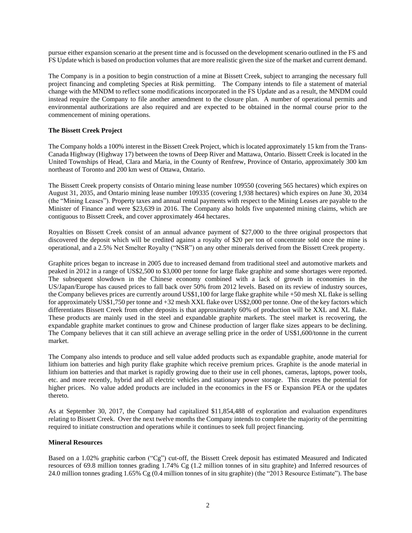pursue either expansion scenario at the present time and is focussed on the development scenario outlined in the FS and FS Update which is based on production volumes that are more realistic given the size of the market and current demand.

The Company is in a position to begin construction of a mine at Bissett Creek, subject to arranging the necessary full project financing and completing Species at Risk permitting. The Company intends to file a statement of material change with the MNDM to reflect some modifications incorporated in the FS Update and as a result, the MNDM could instead require the Company to file another amendment to the closure plan. A number of operational permits and environmental authorizations are also required and are expected to be obtained in the normal course prior to the commencement of mining operations.

## **The Bissett Creek Project**

The Company holds a 100% interest in the Bissett Creek Project, which is located approximately 15 km from the Trans-Canada Highway (Highway 17) between the towns of Deep River and Mattawa, Ontario. Bissett Creek is located in the United Townships of Head, Clara and Maria, in the County of Renfrew, Province of Ontario, approximately 300 km northeast of Toronto and 200 km west of Ottawa, Ontario.

The Bissett Creek property consists of Ontario mining lease number 109550 (covering 565 hectares) which expires on August 31, 2035, and Ontario mining lease number 109335 (covering 1,938 hectares) which expires on June 30, 2034 (the "Mining Leases"). Property taxes and annual rental payments with respect to the Mining Leases are payable to the Minister of Finance and were \$23,639 in 2016. The Company also holds five unpatented mining claims, which are contiguous to Bissett Creek, and cover approximately 464 hectares.

Royalties on Bissett Creek consist of an annual advance payment of \$27,000 to the three original prospectors that discovered the deposit which will be credited against a royalty of \$20 per ton of concentrate sold once the mine is operational, and a 2.5% Net Smelter Royalty ("NSR") on any other minerals derived from the Bissett Creek property.

Graphite prices began to increase in 2005 due to increased demand from traditional steel and automotive markets and peaked in 2012 in a range of US\$2,500 to \$3,000 per tonne for large flake graphite and some shortages were reported. The subsequent slowdown in the Chinese economy combined with a lack of growth in economies in the US/Japan/Europe has caused prices to fall back over 50% from 2012 levels. Based on its review of industry sources, the Company believes prices are currently around US\$1,100 for large flake graphite while +50 mesh XL flake is selling for approximately US\$1,750 per tonne and +32 mesh XXL flake over US\$2,000 per tonne. One of the key factors which differentiates Bissett Creek from other deposits is that approximately 60% of production will be XXL and XL flake. These products are mainly used in the steel and expandable graphite markets. The steel market is recovering, the expandable graphite market continues to grow and Chinese production of larger flake sizes appears to be declining. The Company believes that it can still achieve an average selling price in the order of US\$1,600/tonne in the current market.

The Company also intends to produce and sell value added products such as expandable graphite, anode material for lithium ion batteries and high purity flake graphite which receive premium prices. Graphite is the anode material in lithium ion batteries and that market is rapidly growing due to their use in cell phones, cameras, laptops, power tools, etc. and more recently, hybrid and all electric vehicles and stationary power storage. This creates the potential for higher prices. No value added products are included in the economics in the FS or Expansion PEA or the updates thereto.

As at September 30, 2017, the Company had capitalized \$11,854,488 of exploration and evaluation expenditures relating to Bissett Creek. Over the next twelve months the Company intends to complete the majority of the permitting required to initiate construction and operations while it continues to seek full project financing.

#### **Mineral Resources**

Based on a 1.02% graphitic carbon ("Cg") cut-off, the Bissett Creek deposit has estimated Measured and Indicated resources of 69.8 million tonnes grading 1.74% Cg (1.2 million tonnes of in situ graphite) and Inferred resources of 24.0 million tonnes grading 1.65% Cg (0.4 million tonnes of in situ graphite) (the "2013 Resource Estimate"). The base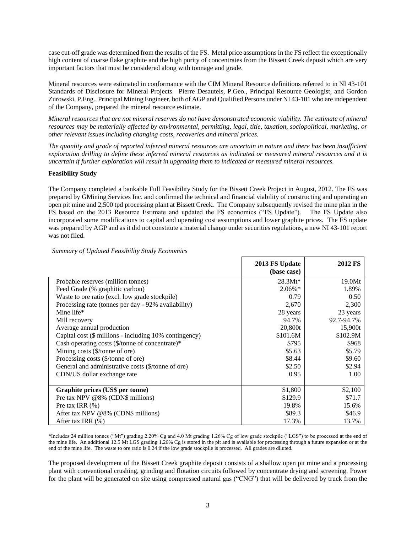case cut-off grade was determined from the results of the FS. Metal price assumptions in the FS reflect the exceptionally high content of coarse flake graphite and the high purity of concentrates from the Bissett Creek deposit which are very important factors that must be considered along with tonnage and grade.

Mineral resources were estimated in conformance with the CIM Mineral Resource definitions referred to in NI 43-101 Standards of Disclosure for Mineral Projects. Pierre Desautels, P.Geo., Principal Resource Geologist, and Gordon Zurowski, P.Eng., Principal Mining Engineer, both of AGP and Qualified Persons under NI 43-101 who are independent of the Company, prepared the mineral resource estimate.

*Mineral resources that are not mineral reserves do not have demonstrated economic viability. The estimate of mineral resources may be materially affected by environmental, permitting, legal, title, taxation, sociopolitical, marketing, or other relevant issues including changing costs, recoveries and mineral prices.*

*The quantity and grade of reported inferred mineral resources are uncertain in nature and there has been insufficient exploration drilling to define these inferred mineral resources as indicated or measured mineral resources and it is uncertain if further exploration will result in upgrading them to indicated or measured mineral resources.*

### **Feasibility Study**

The Company completed a bankable Full Feasibility Study for the Bissett Creek Project in August, 2012. The FS was prepared by GMining Services Inc. and confirmed the technical and financial viability of constructing and operating an open pit mine and 2,500 tpd processing plant at Bissett Creek**.** The Company subsequently revised the mine plan in the FS based on the 2013 Resource Estimate and updated the FS economics ("FS Update"). The FS Update also incorporated some modifications to capital and operating cost assumptions and lower graphite prices. The FS update was prepared by AGP and as it did not constitute a material change under securities regulations, a new NI 43-101 report was not filed.

|                                                        | 2013 FS Update<br>(base case) | <b>2012 FS</b> |
|--------------------------------------------------------|-------------------------------|----------------|
| Probable reserves (million tonnes)                     | $28.3Mt*$                     | 19.0Mt         |
| Feed Grade (% graphitic carbon)                        | $2.06\%$ *                    | 1.89%          |
| Waste to ore ratio (excl. low grade stockpile)         | 0.79                          | 0.50           |
| Processing rate (tonnes per day - 92% availability)    | 2,670                         | 2,300          |
| Mine life*                                             | 28 years                      | 23 years       |
| Mill recovery                                          | 94.7%                         | 92.7-94.7%     |
| Average annual production                              | 20,800t                       | 15,900t        |
| Capital cost (\$ millions - including 10% contingency) | \$101.6M                      | \$102.9M       |
| Cash operating costs (\$/tonne of concentrate)*        | \$795                         | \$968          |
| Mining costs (\$/tonne of ore)                         | \$5.63                        | \$5.79         |
| Processing costs (\$/tonne of ore)                     | \$8.44                        | \$9.60         |
| General and administrative costs (\$/tonne of ore)     | \$2.50                        | \$2.94         |
| CDN/US dollar exchange rate                            | 0.95                          | 1.00           |
|                                                        |                               |                |
| Graphite prices (US\$ per tonne)                       | \$1,800                       | \$2,100        |
| Pre tax NPV @8% (CDN\$ millions)                       | \$129.9                       | \$71.7         |
| Pre tax IRR $(\%)$                                     | 19.8%                         | 15.6%          |
| After tax NPV @8% (CDN\$ millions)                     | \$89.3                        | \$46.9         |
| After tax IRR $(\%)$                                   | 17.3%                         | 13.7%          |

## *Summary of Updated Feasibility Study Economics*

\*Includes 24 million tonnes ("Mt") grading 2.20% Cg and 4.0 Mt grading 1.26% Cg of low grade stockpile ("LGS") to be processed at the end of the mine life. An additional 12.5 Mt LGS grading 1.26% Cg is stored in the pit and is available for processing through a future expansion or at the end of the mine life. The waste to ore ratio is 0.24 if the low grade stockpile is processed. All grades are diluted.

The proposed development of the Bissett Creek graphite deposit consists of a shallow open pit mine and a processing plant with conventional crushing, grinding and flotation circuits followed by concentrate drying and screening. Power for the plant will be generated on site using compressed natural gas ("CNG") that will be delivered by truck from the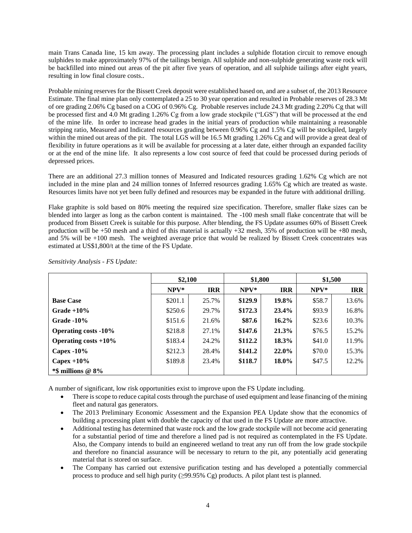main Trans Canada line, 15 km away. The processing plant includes a sulphide flotation circuit to remove enough sulphides to make approximately 97% of the tailings benign. All sulphide and non-sulphide generating waste rock will be backfilled into mined out areas of the pit after five years of operation, and all sulphide tailings after eight years, resulting in low final closure costs..

Probable mining reserves for the Bissett Creek deposit were established based on, and are a subset of, the 2013 Resource Estimate. The final mine plan only contemplated a 25 to 30 year operation and resulted in Probable reserves of 28.3 Mt of ore grading 2.06% Cg based on a COG of 0.96% Cg. Probable reserves include 24.3 Mt grading 2.20% Cg that will be processed first and 4.0 Mt grading 1.26% Cg from a low grade stockpile ("LGS") that will be processed at the end of the mine life. In order to increase head grades in the initial years of production while maintaining a reasonable stripping ratio, Measured and Indicated resources grading between 0.96% Cg and 1.5% Cg will be stockpiled, largely within the mined out areas of the pit. The total LGS will be 16.5 Mt grading 1.26% Cg and will provide a great deal of flexibility in future operations as it will be available for processing at a later date, either through an expanded facility or at the end of the mine life. It also represents a low cost source of feed that could be processed during periods of depressed prices.

There are an additional 27.3 million tonnes of Measured and Indicated resources grading 1.62% Cg which are not included in the mine plan and 24 million tonnes of Inferred resources grading 1.65% Cg which are treated as waste. Resources limits have not yet been fully defined and resources may be expanded in the future with additional drilling.

Flake graphite is sold based on 80% meeting the required size specification. Therefore, smaller flake sizes can be blended into larger as long as the carbon content is maintained. The -100 mesh small flake concentrate that will be produced from Bissett Creek is suitable for this purpose. After blending, the FS Update assumes 60% of Bissett Creek production will be  $+50$  mesh and a third of this material is actually  $+32$  mesh,  $35\%$  of production will be  $+80$  mesh, and 5% will be +100 mesh. The weighted average price that would be realized by Bissett Creek concentrates was estimated at US\$1,800/t at the time of the FS Update.

|                             | \$2,100 |            | \$1,800 |            | \$1,500 |            |
|-----------------------------|---------|------------|---------|------------|---------|------------|
|                             | $NPV*$  | <b>IRR</b> | $NPV*$  | <b>IRR</b> | $NPV^*$ | <b>IRR</b> |
| <b>Base Case</b>            | \$201.1 | 25.7%      | \$129.9 | 19.8%      | \$58.7  | 13.6%      |
| $Grade + 10\%$              | \$250.6 | 29.7%      | \$172.3 | 23.4%      | \$93.9  | 16.8%      |
| Grade $-10\%$               | \$151.6 | 21.6%      | \$87.6  | $16.2\%$   | \$23.6  | 10.3%      |
| <b>Operating costs -10%</b> | \$218.8 | 27.1%      | \$147.6 | 21.3%      | \$76.5  | 15.2%      |
| Operating costs $+10\%$     | \$183.4 | 24.2%      | \$112.2 | 18.3%      | \$41.0  | 11.9%      |
| Capex $-10\%$               | \$212.3 | 28.4%      | \$141.2 | 22.0%      | \$70.0  | 15.3%      |
| Capex $+10\%$               | \$189.8 | 23.4%      | \$118.7 | 18.0%      | \$47.5  | 12.2%      |
| $*$ \$ millions @ 8%        |         |            |         |            |         |            |

*Sensitivity Analysis - FS Update:*

A number of significant, low risk opportunities exist to improve upon the FS Update including.

- There is scope to reduce capital costs through the purchase of used equipment and lease financing of the mining fleet and natural gas generators.
- The 2013 Preliminary Economic Assessment and the Expansion PEA Update show that the economics of building a processing plant with double the capacity of that used in the FS Update are more attractive.
- Additional testing has determined that waste rock and the low grade stockpile will not become acid generating for a substantial period of time and therefore a lined pad is not required as contemplated in the FS Update. Also, the Company intends to build an engineered wetland to treat any run off from the low grade stockpile and therefore no financial assurance will be necessary to return to the pit, any potentially acid generating material that is stored on surface.
- The Company has carried out extensive purification testing and has developed a potentially commercial process to produce and sell high purity  $(\geq 99.95\% \text{ Cg})$  products. A pilot plant test is planned.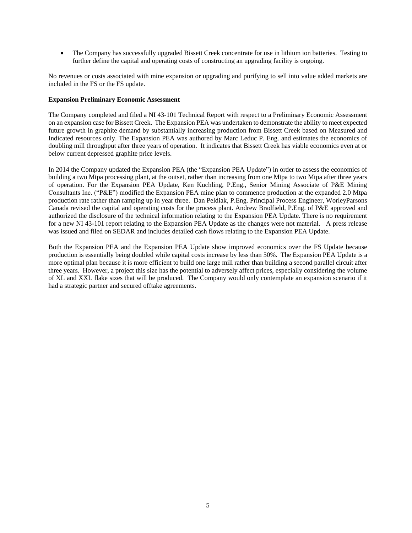• The Company has successfully upgraded Bissett Creek concentrate for use in lithium ion batteries. Testing to further define the capital and operating costs of constructing an upgrading facility is ongoing.

No revenues or costs associated with mine expansion or upgrading and purifying to sell into value added markets are included in the FS or the FS update.

#### **Expansion Preliminary Economic Assessment**

The Company completed and filed a NI 43-101 Technical Report with respect to a Preliminary Economic Assessment on an expansion case for Bissett Creek. The Expansion PEA was undertaken to demonstrate the ability to meet expected future growth in graphite demand by substantially increasing production from Bissett Creek based on Measured and Indicated resources only. The Expansion PEA was authored by Marc Leduc P. Eng. and estimates the economics of doubling mill throughput after three years of operation. It indicates that Bissett Creek has viable economics even at or below current depressed graphite price levels.

In 2014 the Company updated the Expansion PEA (the "Expansion PEA Update") in order to assess the economics of building a two Mtpa processing plant, at the outset, rather than increasing from one Mtpa to two Mtpa after three years of operation. For the Expansion PEA Update, Ken Kuchling, P.Eng., Senior Mining Associate of P&E Mining Consultants Inc. ("P&E") modified the Expansion PEA mine plan to commence production at the expanded 2.0 Mtpa production rate rather than ramping up in year three. Dan Peldiak, P.Eng. Principal Process Engineer, WorleyParsons Canada revised the capital and operating costs for the process plant. Andrew Bradfield, P.Eng. of P&E approved and authorized the disclosure of the technical information relating to the Expansion PEA Update. There is no requirement for a new NI 43-101 report relating to the Expansion PEA Update as the changes were not material. A press release was issued and filed on SEDAR and includes detailed cash flows relating to the Expansion PEA Update.

Both the Expansion PEA and the Expansion PEA Update show improved economics over the FS Update because production is essentially being doubled while capital costs increase by less than 50%. The Expansion PEA Update is a more optimal plan because it is more efficient to build one large mill rather than building a second parallel circuit after three years. However, a project this size has the potential to adversely affect prices, especially considering the volume of XL and XXL flake sizes that will be produced. The Company would only contemplate an expansion scenario if it had a strategic partner and secured offtake agreements.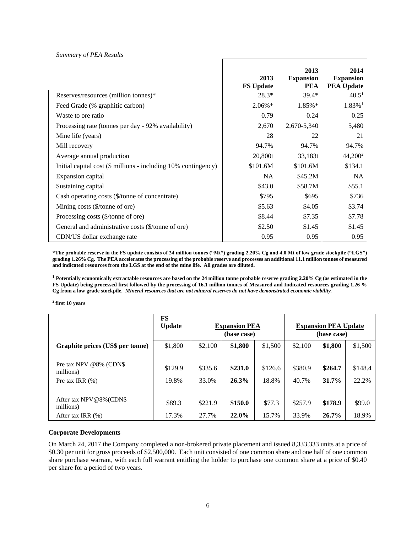### *Summary of PEA Results*

|                                                                | 2013             | 2013<br><b>Expansion</b> | 2014<br><b>Expansion</b> |
|----------------------------------------------------------------|------------------|--------------------------|--------------------------|
|                                                                | <b>FS Update</b> | <b>PEA</b>               | <b>PEA Update</b>        |
| Reserves/resources (million tonnes)*                           | $28.3*$          | $39.4*$                  | 40.5 <sup>1</sup>        |
| Feed Grade (% graphitic carbon)                                | 2.06%*           | 1.85%*                   | $1.83\%$ <sup>1</sup>    |
| Waste to ore ratio                                             | 0.79             | 0.24                     | 0.25                     |
| Processing rate (tonnes per day - 92% availability)            | 2,670            | 2,670-5,340              | 5,480                    |
| Mine life (years)                                              | 28               | 22                       | 21                       |
| Mill recovery                                                  | 94.7%            | 94.7%                    | 94.7%                    |
| Average annual production                                      | 20,800t          | 33,183t                  | 44,200 <sup>2</sup>      |
| Initial capital cost (\$ millions - including 10% contingency) | \$101.6M         | \$101.6M                 | \$134.1                  |
| Expansion capital                                              | <b>NA</b>        | \$45.2M                  | <b>NA</b>                |
| Sustaining capital                                             | \$43.0           | \$58.7M                  | \$55.1                   |
| Cash operating costs (\$/tonne of concentrate)                 | \$795            | \$695                    | \$736                    |
| Mining costs (\$/tonne of ore)                                 | \$5.63           | \$4.05                   | \$3.74                   |
| Processing costs (\$/tonne of ore)                             | \$8.44           | \$7.35                   | \$7.78                   |
| General and administrative costs (\$/tonne of ore)             | \$2.50           | \$1.45                   | \$1.45                   |
| CDN/US dollar exchange rate                                    | 0.95             | 0.95                     | 0.95                     |

**\*The probable reserve in the FS update consists of 24 million tonnes ("Mt") grading 2.20% Cg and 4.0 Mt of low grade stockpile ("LGS") grading 1.26% Cg. The PEA accelerates the processing of the probable reserve and processes an additional 11.1 million tonnes of measured and indicated resources from the LGS at the end of the mine life. All grades are diluted.**

**<sup>1</sup> Potentially economically extractable resources are based on the 24 million tonne probable reserve grading 2.20% Cg (as estimated in the FS Update) being processed first followed by the processing of 16.1 million tonnes of Measured and Indicated resources grading 1.26 % Cg from a low grade stockpile.** *Mineral resources that are not mineral reserves do not have demonstrated economic viability.* 

**2 first 10 years**

|                                     | FS<br><b>Update</b> | <b>Expansion PEA</b> |         |         | <b>Expansion PEA Update</b> |             |         |
|-------------------------------------|---------------------|----------------------|---------|---------|-----------------------------|-------------|---------|
|                                     |                     | (base case)          |         |         |                             | (base case) |         |
| Graphite prices (US\$ per tonne)    | \$1,800             | \$2,100              | \$1,800 | \$1,500 | \$2,100                     | \$1,800     | \$1,500 |
|                                     |                     |                      |         |         |                             |             |         |
| Pre tax NPV @8% (CDN\$<br>millions) | \$129.9             | \$335.6              | \$231.0 | \$126.6 | \$380.9                     | \$264.7     | \$148.4 |
| Pre tax IRR $(\%)$                  | 19.8%               | 33.0%                | 26.3%   | 18.8%   | 40.7%                       | $31.7\%$    | 22.2%   |
|                                     |                     |                      |         |         |                             |             |         |
| After tax NPV@8%(CDN\$<br>millions) | \$89.3              | \$221.9              | \$150.0 | \$77.3  | \$257.9                     | \$178.9     | \$99.0  |
| After tax IRR $(\%)$                | 17.3%               | 27.7%                | 22.0%   | 15.7%   | 33.9%                       | $26.7\%$    | 18.9%   |

#### **Corporate Developments**

On March 24, 2017 the Company completed a non-brokered private placement and issued 8,333,333 units at a price of \$0.30 per unit for gross proceeds of \$2,500,000. Each unit consisted of one common share and one half of one common share purchase warrant, with each full warrant entitling the holder to purchase one common share at a price of \$0.40 per share for a period of two years.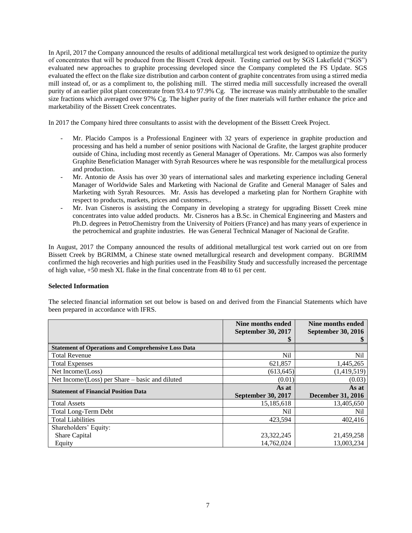In April, 2017 the Company announced the results of additional metallurgical test work designed to optimize the purity of concentrates that will be produced from the Bissett Creek deposit. Testing carried out by SGS Lakefield ("SGS") evaluated new approaches to graphite processing developed since the Company completed the FS Update. SGS evaluated the effect on the flake size distribution and carbon content of graphite concentrates from using a stirred media mill instead of, or as a compliment to, the polishing mill. The stirred media mill successfully increased the overall purity of an earlier pilot plant concentrate from 93.4 to 97.9% Cg. The increase was mainly attributable to the smaller size fractions which averaged over 97% Cg. The higher purity of the finer materials will further enhance the price and marketability of the Bissett Creek concentrates.

In 2017 the Company hired three consultants to assist with the development of the Bissett Creek Project.

- Mr. Placido Campos is a Professional Engineer with 32 years of experience in graphite production and processing and has held a number of senior positions with Nacional de Grafite, the largest graphite producer outside of China, including most recently as General Manager of Operations. Mr. Campos was also formerly Graphite Beneficiation Manager with Syrah Resources where he was responsible for the metallurgical process and production.
- Mr. Antonio de Assis has over 30 years of international sales and marketing experience including General Manager of Worldwide Sales and Marketing with Nacional de Grafite and General Manager of Sales and Marketing with Syrah Resources. Mr. Assis has developed a marketing plan for Northern Graphite with respect to products, markets, prices and customers..
- Mr. Ivan Cisneros is assisting the Company in developing a strategy for upgrading Bissett Creek mine concentrates into value added products. Mr. Cisneros has a B.Sc. in Chemical Engineering and Masters and Ph.D. degrees in PetroChemistry from the University of Poitiers (France) and has many years of experience in the petrochemical and graphite industries. He was General Technical Manager of Nacional de Grafite.

In August, 2017 the Company announced the results of additional metallurgical test work carried out on ore from Bissett Creek by BGRIMM, a Chinese state owned metallurgical research and development company. BGRIMM confirmed the high recoveries and high purities used in the Feasibility Study and successfully increased the percentage of high value, +50 mesh XL flake in the final concentrate from 48 to 61 per cent.

#### **Selected Information**

The selected financial information set out below is based on and derived from the Financial Statements which have been prepared in accordance with IFRS.

|                                                            | Nine months ended<br><b>September 30, 2017</b> | Nine months ended<br><b>September 30, 2016</b> |
|------------------------------------------------------------|------------------------------------------------|------------------------------------------------|
|                                                            | P                                              |                                                |
| <b>Statement of Operations and Comprehensive Loss Data</b> |                                                |                                                |
| <b>Total Revenue</b>                                       | Nil                                            | Nil                                            |
| <b>Total Expenses</b>                                      | 621,857                                        | 1,445,265                                      |
| Net Income/(Loss)                                          | (613, 645)                                     | (1,419,519)                                    |
| Net Income/(Loss) per Share – basic and diluted            | (0.01)                                         | (0.03)                                         |
| <b>Statement of Financial Position Data</b>                | As at                                          | As at                                          |
|                                                            | <b>September 30, 2017</b>                      | <b>December 31, 2016</b>                       |
| <b>Total Assets</b>                                        | 15,185,618                                     | 13,405,650                                     |
| <b>Total Long-Term Debt</b>                                | Nil                                            | Nil                                            |
| <b>Total Liabilities</b>                                   | 423.594                                        | 402,416                                        |
| Shareholders' Equity:                                      |                                                |                                                |
| <b>Share Capital</b>                                       | 23,322,245                                     | 21,459,258                                     |
| Equity                                                     | 14.762.024                                     | 13.003.234                                     |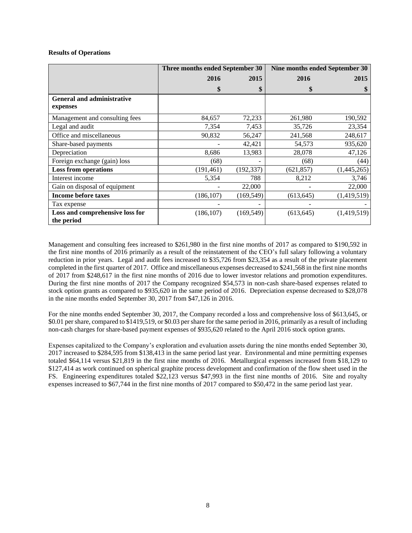## **Results of Operations**

|                                               | Three months ended September 30 |            | Nine months ended September 30 |             |  |
|-----------------------------------------------|---------------------------------|------------|--------------------------------|-------------|--|
|                                               | 2016                            | 2015       | 2016                           | 2015        |  |
|                                               | \$                              | \$         | \$                             |             |  |
| <b>General and administrative</b><br>expenses |                                 |            |                                |             |  |
| Management and consulting fees                | 84,657                          | 72,233     | 261,980                        | 190,592     |  |
| Legal and audit                               | 7,354                           | 7,453      | 35,726                         | 23,354      |  |
| Office and miscellaneous                      | 90,832                          | 56,247     | 241,568                        | 248,617     |  |
| Share-based payments                          |                                 | 42,421     | 54,573                         | 935,620     |  |
| Depreciation                                  | 8,686                           | 13,983     | 28,078                         | 47,126      |  |
| Foreign exchange (gain) loss                  | (68)                            |            | (68)                           | (44)        |  |
| <b>Loss from operations</b>                   | (191, 461)                      | (192, 337) | (621, 857)                     | (1,445,265) |  |
| Interest income                               | 5,354                           | 788        | 8,212                          | 3,746       |  |
| Gain on disposal of equipment                 |                                 | 22,000     |                                | 22,000      |  |
| <b>Income before taxes</b>                    | (186, 107)                      | (169, 549) | (613, 645)                     | (1,419,519) |  |
| Tax expense                                   |                                 |            |                                |             |  |
| Loss and comprehensive loss for<br>the period | (186, 107)                      | (169, 549) | (613, 645)                     | (1,419,519) |  |

Management and consulting fees increased to \$261,980 in the first nine months of 2017 as compared to \$190,592 in the first nine months of 2016 primarily as a result of the reinstatement of the CEO's full salary following a voluntary reduction in prior years. Legal and audit fees increased to \$35,726 from \$23,354 as a result of the private placement completed in the first quarter of 2017. Office and miscellaneous expenses decreased to \$241,568 in the first nine months of 2017 from \$248,617 in the first nine months of 2016 due to lower investor relations and promotion expenditures. During the first nine months of 2017 the Company recognized \$54,573 in non-cash share-based expenses related to stock option grants as compared to \$935,620 in the same period of 2016. Depreciation expense decreased to \$28,078 in the nine months ended September 30, 2017 from \$47,126 in 2016.

For the nine months ended September 30, 2017, the Company recorded a loss and comprehensive loss of \$613,645, or \$0.01 per share, compared to \$1419,519, or \$0.03 per share for the same period in 2016, primarily as a result of including non-cash charges for share-based payment expenses of \$935,620 related to the April 2016 stock option grants.

Expenses capitalized to the Company's exploration and evaluation assets during the nine months ended September 30, 2017 increased to \$284,595 from \$138,413 in the same period last year. Environmental and mine permitting expenses totaled \$64,114 versus \$21,819 in the first nine months of 2016. Metallurgical expenses increased from \$18,129 to \$127,414 as work continued on spherical graphite process development and confirmation of the flow sheet used in the FS. Engineering expenditures totaled \$22,123 versus \$47,993 in the first nine months of 2016. Site and royalty expenses increased to \$67,744 in the first nine months of 2017 compared to \$50,472 in the same period last year.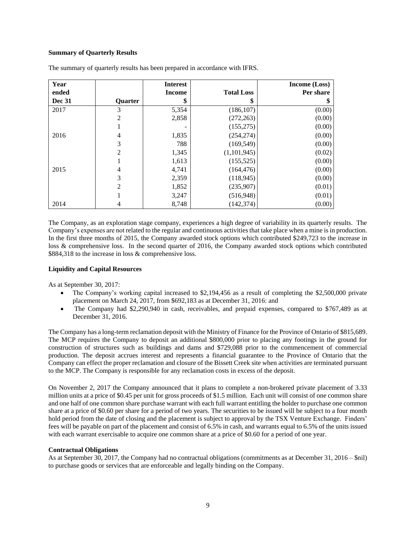# **Summary of Quarterly Results**

| Year          |                | <b>Interest</b> |                   | <b>Income (Loss)</b> |
|---------------|----------------|-----------------|-------------------|----------------------|
| ended         |                | <b>Income</b>   | <b>Total Loss</b> | Per share            |
| <b>Dec 31</b> | <b>Quarter</b> | \$              | \$                | 5                    |
| 2017          | 3              | 5,354           | (186, 107)        | (0.00)               |
|               | $\overline{2}$ | 2,858           | (272, 263)        | (0.00)               |
|               |                |                 | (155, 275)        | (0.00)               |
| 2016          | 4              | 1,835           | (254, 274)        | (0.00)               |
|               | 3              | 788             | (169, 549)        | (0.00)               |
|               | $\overline{2}$ | 1,345           | (1,101,945)       | (0.02)               |
|               |                | 1,613           | (155, 525)        | (0.00)               |
| 2015          | 4              | 4,741           | (164, 476)        | (0.00)               |
|               | 3              | 2,359           | (118, 945)        | (0.00)               |
|               | $\overline{2}$ | 1,852           | (235,907)         | (0.01)               |
|               |                | 3,247           | (516, 948)        | (0.01)               |
| 2014          | 4              | 8,748           | (142, 374)        | (0.00)               |

The summary of quarterly results has been prepared in accordance with IFRS.

The Company, as an exploration stage company, experiences a high degree of variability in its quarterly results. The Company's expenses are not related to the regular and continuous activities that take place when a mine is in production. In the first three months of 2015, the Company awarded stock options which contributed \$249,723 to the increase in loss & comprehensive loss. In the second quarter of 2016, the Company awarded stock options which contributed \$884,318 to the increase in loss & comprehensive loss.

#### **Liquidity and Capital Resources**

As at September 30, 2017:

- The Company's working capital increased to \$2,194,456 as a result of completing the \$2,500,000 private placement on March 24, 2017, from \$692,183 as at December 31, 2016: and
- The Company had \$2,290,940 in cash, receivables, and prepaid expenses, compared to \$767,489 as at December 31, 2016.

The Company has a long-term reclamation deposit with the Ministry of Finance for the Province of Ontario of \$815,689. The MCP requires the Company to deposit an additional \$800,000 prior to placing any footings in the ground for construction of structures such as buildings and dams and \$729,088 prior to the commencement of commercial production. The deposit accrues interest and represents a financial guarantee to the Province of Ontario that the Company can effect the proper reclamation and closure of the Bissett Creek site when activities are terminated pursuant to the MCP. The Company is responsible for any reclamation costs in excess of the deposit.

On November 2, 2017 the Company announced that it plans to complete a non-brokered private placement of 3.33 million units at a price of \$0.45 per unit for gross proceeds of \$1.5 million. Each unit will consist of one common share and one half of one common share purchase warrant with each full warrant entitling the holder to purchase one common share at a price of \$0.60 per share for a period of two years. The securities to be issued will be subject to a four month hold period from the date of closing and the placement is subject to approval by the TSX Venture Exchange. Finders' fees will be payable on part of the placement and consist of 6.5% in cash, and warrants equal to 6.5% of the units issued with each warrant exercisable to acquire one common share at a price of \$0.60 for a period of one year.

#### **Contractual Obligations**

As at September 30, 2017, the Company had no contractual obligations (commitments as at December 31, 2016 – \$nil) to purchase goods or services that are enforceable and legally binding on the Company.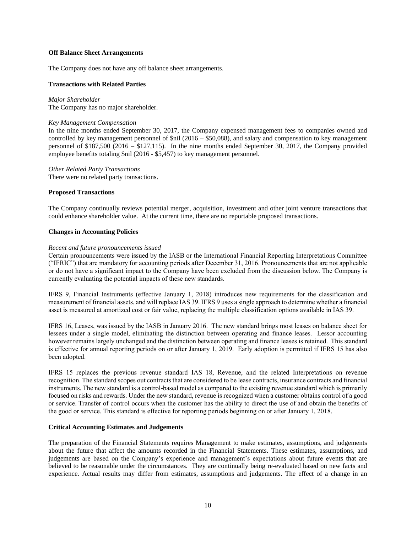#### **Off Balance Sheet Arrangements**

The Company does not have any off balance sheet arrangements.

## **Transactions with Related Parties**

*Major Shareholder* The Company has no major shareholder.

#### *Key Management Compensation*

In the nine months ended September 30, 2017, the Company expensed management fees to companies owned and controlled by key management personnel of \$nil (2016 – \$50,088), and salary and compensation to key management personnel of \$187,500 (2016 – \$127,115). In the nine months ended September 30, 2017, the Company provided employee benefits totaling \$nil (2016 - \$5,457) to key management personnel.

*Other Related Party Transactions* There were no related party transactions.

## **Proposed Transactions**

The Company continually reviews potential merger, acquisition, investment and other joint venture transactions that could enhance shareholder value. At the current time, there are no reportable proposed transactions.

## **Changes in Accounting Policies**

#### *Recent and future pronouncements issued*

Certain pronouncements were issued by the IASB or the International Financial Reporting Interpretations Committee ("IFRIC") that are mandatory for accounting periods after December 31, 2016. Pronouncements that are not applicable or do not have a significant impact to the Company have been excluded from the discussion below. The Company is currently evaluating the potential impacts of these new standards.

IFRS 9, Financial Instruments (effective January 1, 2018) introduces new requirements for the classification and measurement of financial assets, and will replace IAS 39. IFRS 9 uses a single approach to determine whether a financial asset is measured at amortized cost or fair value, replacing the multiple classification options available in IAS 39.

IFRS 16, Leases, was issued by the IASB in January 2016. The new standard brings most leases on balance sheet for lessees under a single model, eliminating the distinction between operating and finance leases. Lessor accounting however remains largely unchanged and the distinction between operating and finance leases is retained. This standard is effective for annual reporting periods on or after January 1, 2019. Early adoption is permitted if IFRS 15 has also been adopted.

IFRS 15 replaces the previous revenue standard IAS 18, Revenue, and the related Interpretations on revenue recognition. The standard scopes out contracts that are considered to be lease contracts, insurance contracts and financial instruments. The new standard is a control-based model as compared to the existing revenue standard which is primarily focused on risks and rewards. Under the new standard, revenue is recognized when a customer obtains control of a good or service. Transfer of control occurs when the customer has the ability to direct the use of and obtain the benefits of the good or service. This standard is effective for reporting periods beginning on or after January 1, 2018.

### **Critical Accounting Estimates and Judgements**

The preparation of the Financial Statements requires Management to make estimates, assumptions, and judgements about the future that affect the amounts recorded in the Financial Statements. These estimates, assumptions, and judgements are based on the Company's experience and management's expectations about future events that are believed to be reasonable under the circumstances. They are continually being re-evaluated based on new facts and experience. Actual results may differ from estimates, assumptions and judgements. The effect of a change in an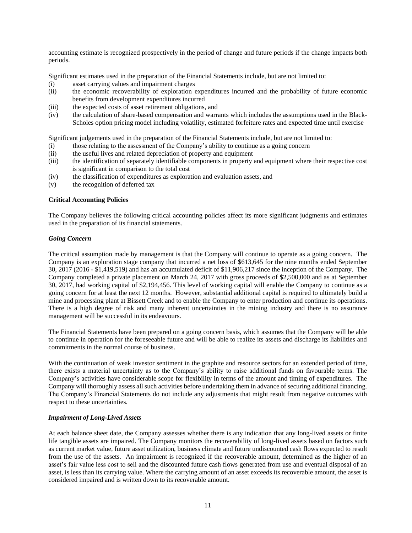accounting estimate is recognized prospectively in the period of change and future periods if the change impacts both periods.

Significant estimates used in the preparation of the Financial Statements include, but are not limited to:

- (i) asset carrying values and impairment charges
- (ii) the economic recoverability of exploration expenditures incurred and the probability of future economic benefits from development expenditures incurred
- (iii) the expected costs of asset retirement obligations, and
- (iv) the calculation of share-based compensation and warrants which includes the assumptions used in the Black-Scholes option pricing model including volatility, estimated forfeiture rates and expected time until exercise

Significant judgements used in the preparation of the Financial Statements include, but are not limited to:

- (i) those relating to the assessment of the Company's ability to continue as a going concern
- (ii) the useful lives and related depreciation of property and equipment
- (iii) the identification of separately identifiable components in property and equipment where their respective cost is significant in comparison to the total cost
- (iv) the classification of expenditures as exploration and evaluation assets, and
- (v) the recognition of deferred tax

#### **Critical Accounting Policies**

The Company believes the following critical accounting policies affect its more significant judgments and estimates used in the preparation of its financial statements.

## *Going Concern*

The critical assumption made by management is that the Company will continue to operate as a going concern. The Company is an exploration stage company that incurred a net loss of \$613,645 for the nine months ended September 30, 2017 (2016 - \$1,419,519) and has an accumulated deficit of \$11,906,217 since the inception of the Company. The Company completed a private placement on March 24, 2017 with gross proceeds of \$2,500,000 and as at September 30, 2017, had working capital of \$2,194,456. This level of working capital will enable the Company to continue as a going concern for at least the next 12 months. However, substantial additional capital is required to ultimately build a mine and processing plant at Bissett Creek and to enable the Company to enter production and continue its operations. There is a high degree of risk and many inherent uncertainties in the mining industry and there is no assurance management will be successful in its endeavours.

The Financial Statements have been prepared on a going concern basis, which assumes that the Company will be able to continue in operation for the foreseeable future and will be able to realize its assets and discharge its liabilities and commitments in the normal course of business.

With the continuation of weak investor sentiment in the graphite and resource sectors for an extended period of time, there exists a material uncertainty as to the Company's ability to raise additional funds on favourable terms. The Company's activities have considerable scope for flexibility in terms of the amount and timing of expenditures. The Company will thoroughly assess all such activities before undertaking them in advance of securing additional financing. The Company's Financial Statements do not include any adjustments that might result from negative outcomes with respect to these uncertainties.

### *Impairment of Long-Lived Assets*

At each balance sheet date, the Company assesses whether there is any indication that any long-lived assets or finite life tangible assets are impaired. The Company monitors the recoverability of long-lived assets based on factors such as current market value, future asset utilization, business climate and future undiscounted cash flows expected to result from the use of the assets. An impairment is recognized if the recoverable amount, determined as the higher of an asset's fair value less cost to sell and the discounted future cash flows generated from use and eventual disposal of an asset, is less than its carrying value. Where the carrying amount of an asset exceeds its recoverable amount, the asset is considered impaired and is written down to its recoverable amount.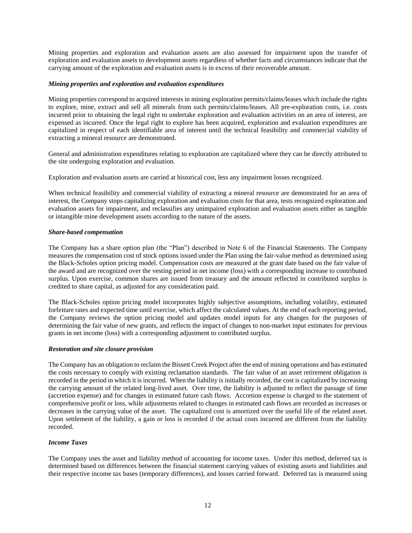Mining properties and exploration and evaluation assets are also assessed for impairment upon the transfer of exploration and evaluation assets to development assets regardless of whether facts and circumstances indicate that the carrying amount of the exploration and evaluation assets is in excess of their recoverable amount.

## *Mining properties and exploration and evaluation expenditures*

Mining properties correspond to acquired interests in mining exploration permits/claims/leases which include the rights to explore, mine, extract and sell all minerals from such permits/claims/leases. All pre-exploration costs, i.e. costs incurred prior to obtaining the legal right to undertake exploration and evaluation activities on an area of interest, are expensed as incurred. Once the legal right to explore has been acquired, exploration and evaluation expenditures are capitalized in respect of each identifiable area of interest until the technical feasibility and commercial viability of extracting a mineral resource are demonstrated.

General and administration expenditures relating to exploration are capitalized where they can be directly attributed to the site undergoing exploration and evaluation.

Exploration and evaluation assets are carried at historical cost, less any impairment losses recognized.

When technical feasibility and commercial viability of extracting a mineral resource are demonstrated for an area of interest, the Company stops capitalizing exploration and evaluation costs for that area, tests recognized exploration and evaluation assets for impairment, and reclassifies any unimpaired exploration and evaluation assets either as tangible or intangible mine development assets according to the nature of the assets.

## *Share-based compensation*

The Company has a share option plan (the "Plan") described in Note 6 of the Financial Statements. The Company measures the compensation cost of stock options issued under the Plan using the fair-value method as determined using the Black-Scholes option pricing model. Compensation costs are measured at the grant date based on the fair value of the award and are recognized over the vesting period in net income (loss) with a corresponding increase to contributed surplus. Upon exercise, common shares are issued from treasury and the amount reflected in contributed surplus is credited to share capital, as adjusted for any consideration paid.

The Black-Scholes option pricing model incorporates highly subjective assumptions, including volatility, estimated forfeiture rates and expected time until exercise, which affect the calculated values. At the end of each reporting period, the Company reviews the option pricing model and updates model inputs for any changes for the purposes of determining the fair value of new grants, and reflects the impact of changes to non-market input estimates for previous grants in net income (loss) with a corresponding adjustment to contributed surplus.

#### *Restoration and site closure provision*

The Company has an obligation to reclaim the Bissett Creek Project after the end of mining operations and has estimated the costs necessary to comply with existing reclamation standards. The fair value of an asset retirement obligation is recorded in the period in which it is incurred. When the liability is initially recorded, the cost is capitalized by increasing the carrying amount of the related long-lived asset. Over time, the liability is adjusted to reflect the passage of time (accretion expense) and for changes in estimated future cash flows. Accretion expense is charged to the statement of comprehensive profit or loss, while adjustments related to changes in estimated cash flows are recorded as increases or decreases in the carrying value of the asset. The capitalized cost is amortized over the useful life of the related asset. Upon settlement of the liability, a gain or loss is recorded if the actual costs incurred are different from the liability recorded.

# *Income Taxes*

The Company uses the asset and liability method of accounting for income taxes. Under this method, deferred tax is determined based on differences between the financial statement carrying values of existing assets and liabilities and their respective income tax bases (temporary differences), and losses carried forward. Deferred tax is measured using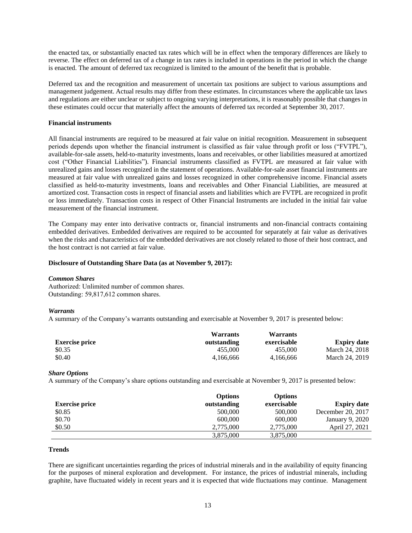the enacted tax, or substantially enacted tax rates which will be in effect when the temporary differences are likely to reverse. The effect on deferred tax of a change in tax rates is included in operations in the period in which the change is enacted. The amount of deferred tax recognized is limited to the amount of the benefit that is probable.

Deferred tax and the recognition and measurement of uncertain tax positions are subject to various assumptions and management judgement. Actual results may differ from these estimates. In circumstances where the applicable tax laws and regulations are either unclear or subject to ongoing varying interpretations, it is reasonably possible that changes in these estimates could occur that materially affect the amounts of deferred tax recorded at September 30, 2017.

### **Financial instruments**

All financial instruments are required to be measured at fair value on initial recognition. Measurement in subsequent periods depends upon whether the financial instrument is classified as fair value through profit or loss ("FVTPL"), available-for-sale assets, held-to-maturity investments, loans and receivables, or other liabilities measured at amortized cost ("Other Financial Liabilities"). Financial instruments classified as FVTPL are measured at fair value with unrealized gains and losses recognized in the statement of operations. Available-for-sale asset financial instruments are measured at fair value with unrealized gains and losses recognized in other comprehensive income. Financial assets classified as held-to-maturity investments, loans and receivables and Other Financial Liabilities, are measured at amortized cost. Transaction costs in respect of financial assets and liabilities which are FVTPL are recognized in profit or loss immediately. Transaction costs in respect of Other Financial Instruments are included in the initial fair value measurement of the financial instrument.

The Company may enter into derivative contracts or, financial instruments and non-financial contracts containing embedded derivatives. Embedded derivatives are required to be accounted for separately at fair value as derivatives when the risks and characteristics of the embedded derivatives are not closely related to those of their host contract, and the host contract is not carried at fair value.

### **Disclosure of Outstanding Share Data (as at November 9, 2017):**

#### *Common Shares*

Authorized: Unlimited number of common shares. Outstanding: 59,817,612 common shares.

# *Warrants*

A summary of the Company's warrants outstanding and exercisable at November 9, 2017 is presented below:

|                       | <b>Warrants</b> | Warrants    |                    |
|-----------------------|-----------------|-------------|--------------------|
| <b>Exercise price</b> | outstanding     | exercisable | <b>Expiry date</b> |
| \$0.35                | 455,000         | 455,000     | March 24, 2018     |
| \$0.40                | 4.166.666       | 4.166.666   | March 24, 2019     |

# *Share Options*

A summary of the Company's share options outstanding and exercisable at November 9, 2017 is presented below:

|                       | <b>Options</b> | <b>Options</b> |                    |
|-----------------------|----------------|----------------|--------------------|
| <b>Exercise price</b> | outstanding    | exercisable    | <b>Expiry date</b> |
| \$0.85                | 500,000        | 500,000        | December 20, 2017  |
| \$0.70                | 600,000        | 600,000        | January 9, 2020    |
| \$0.50                | 2.775,000      | 2,775,000      | April 27, 2021     |
|                       | 3,875,000      | 3,875,000      |                    |

#### **Trends**

There are significant uncertainties regarding the prices of industrial minerals and in the availability of equity financing for the purposes of mineral exploration and development. For instance, the prices of industrial minerals, including graphite, have fluctuated widely in recent years and it is expected that wide fluctuations may continue. Management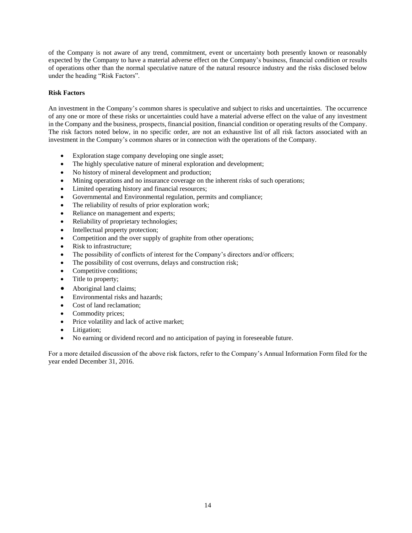of the Company is not aware of any trend, commitment, event or uncertainty both presently known or reasonably expected by the Company to have a material adverse effect on the Company's business, financial condition or results of operations other than the normal speculative nature of the natural resource industry and the risks disclosed below under the heading "Risk Factors".

# **Risk Factors**

An investment in the Company's common shares is speculative and subject to risks and uncertainties. The occurrence of any one or more of these risks or uncertainties could have a material adverse effect on the value of any investment in the Company and the business, prospects, financial position, financial condition or operating results of the Company. The risk factors noted below, in no specific order, are not an exhaustive list of all risk factors associated with an investment in the Company's common shares or in connection with the operations of the Company.

- Exploration stage company developing one single asset;
- The highly speculative nature of mineral exploration and development;
- No history of mineral development and production;
- Mining operations and no insurance coverage on the inherent risks of such operations;
- Limited operating history and financial resources;
- Governmental and Environmental regulation, permits and compliance;
- The reliability of results of prior exploration work;
- Reliance on management and experts;
- Reliability of proprietary technologies;
- Intellectual property protection;
- Competition and the over supply of graphite from other operations;
- Risk to infrastructure:
- The possibility of conflicts of interest for the Company's directors and/or officers;
- The possibility of cost overruns, delays and construction risk;
- Competitive conditions;
- Title to property;
- Aboriginal land claims;
- Environmental risks and hazards:
- Cost of land reclamation:
- Commodity prices;
- Price volatility and lack of active market;
- Litigation;
- No earning or dividend record and no anticipation of paying in foreseeable future.

For a more detailed discussion of the above risk factors, refer to the Company's Annual Information Form filed for the year ended December 31, 2016.